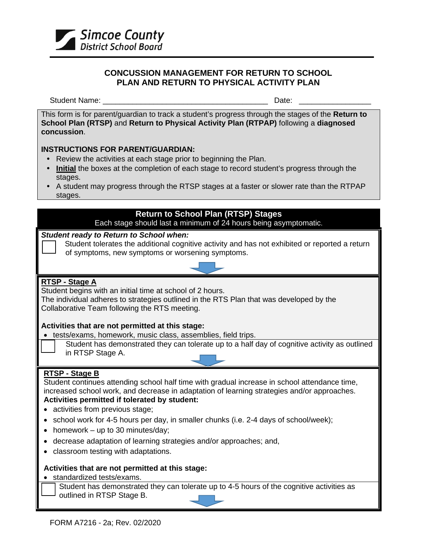

### **CONCUSSION MANAGEMENT FOR RETURN TO SCHOOL PLAN AND RETURN TO PHYSICAL ACTIVITY PLAN**

Student Name: \_\_\_\_\_\_\_\_\_\_\_\_\_\_\_\_\_\_\_\_\_\_\_\_\_\_\_\_\_\_\_\_\_\_\_\_\_\_\_ Date: \_\_\_\_\_\_\_\_\_\_\_\_\_\_\_\_\_

This form is for parent/guardian to track a student's progress through the stages of the **Return to School Plan (RTSP)** and **Return to Physical Activity Plan (RTPAP)** following a **diagnosed concussion**.

## **INSTRUCTIONS FOR PARENT/GUARDIAN:**

- Review the activities at each stage prior to beginning the Plan.
- **Initial** the boxes at the completion of each stage to record student's progress through the stages.
- A student may progress through the RTSP stages at a faster or slower rate than the RTPAP stages.

# **Return to School Plan (RTSP) Stages**

Each stage should last a minimum of 24 hours being asymptomatic.

## *Student ready to Return to School when:*

 Student tolerates the additional cognitive activity and has not exhibited or reported a return of symptoms, new symptoms or worsening symptoms.



# **RTSP - Stage A**

Student begins with an initial time at school of 2 hours.

The individual adheres to strategies outlined in the RTS Plan that was developed by the Collaborative Team following the RTS meeting.

## **Activities that are not permitted at this stage:**

- tests/exams, homework, music class, assemblies, field trips.
	- Student has demonstrated they can tolerate up to a half day of cognitive activity as outlined in RTSP Stage A.

# **RTSP - Stage B**

Student continues attending school half time with gradual increase in school attendance time, increased school work, and decrease in adaptation of learning strategies and/or approaches.

# **Activities permitted if tolerated by student:**

- activities from previous stage;
- school work for 4-5 hours per day, in smaller chunks (i.e. 2-4 days of school/week);
- homework up to 30 minutes/day;
- decrease adaptation of learning strategies and/or approaches; and,
- classroom testing with adaptations.

### **Activities that are not permitted at this stage:**

• standardized tests/exams.

Student has demonstrated they can tolerate up to 4-5 hours of the cognitive activities as outlined in RTSP Stage B.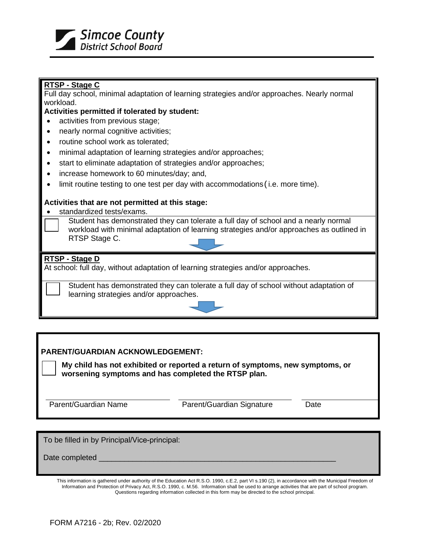

### **RTSP - Stage C**

Full day school, minimal adaptation of learning strategies and/or approaches. Nearly normal workload.

#### **Activities permitted if tolerated by student:**

- activities from previous stage;
- nearly normal cognitive activities;
- routine school work as tolerated;
- minimal adaptation of learning strategies and/or approaches;
- start to eliminate adaptation of strategies and/or approaches;
- increase homework to 60 minutes/day; and,
- limit routine testing to one test per day with accommodations (i.e. more time).

#### **Activities that are not permitted at this stage:**

- standardized tests/exams.
	- Student has demonstrated they can tolerate a full day of school and a nearly normal workload with minimal adaptation of learning strategies and/or approaches as outlined in RTSP Stage C.

#### **RTSP - Stage D**

At school: full day, without adaptation of learning strategies and/or approaches.

Student has demonstrated they can tolerate a full day of school without adaptation of learning strategies and/or approaches.



### **PARENT/GUARDIAN ACKNOWLEDGEMENT:**

**My child has not exhibited or reported a return of symptoms, new symptoms, or worsening symptoms and has completed the RTSP plan.**

Parent/Guardian Name **Parent/Guardian Signature** Date

To be filled in by Principal/Vice-principal:

Date completed

This information is gathered under authority of the Education Act R.S.O. 1990, c.E.2, part VI s.190 (2), in accordance with the Municipal Freedom of Information and Protection of Privacy Act, R.S.O. 1990, c. M.56. Information shall be used to arrange activities that are part of school program. Questions regarding information collected in this form may be directed to the school principal.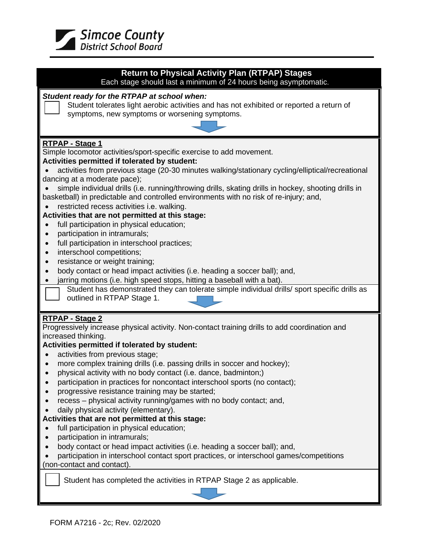